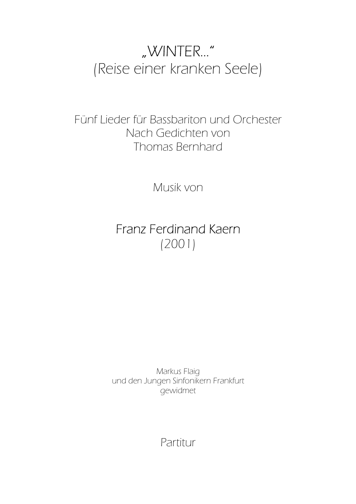# "WINTER…" (Reise einer kranken Seele)

Fünf Lieder für Bassbariton und Orchester Nach Gedichten von Thomas Bernhard

Musik von

# Franz Ferdinand Kaern (2001)

Markus Flaig und den Jungen Sinfonikern Frankfurt gewidmet

Partitur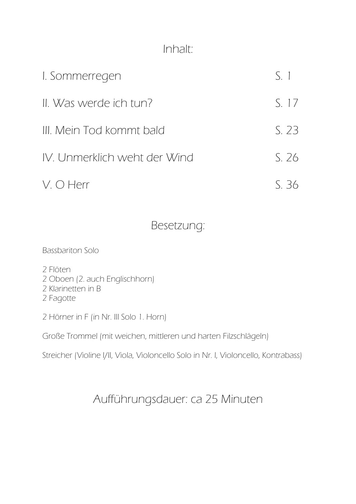### Inhalt:

| I. Sommerregen               | S <sub>1</sub> |
|------------------------------|----------------|
| II. Was werde ich tun?       | S.17           |
| III. Mein Tod kommt bald     | S. 23          |
| IV. Unmerklich weht der Wind | S.76           |
| V. O Herr                    | S 36           |

# Besetzung:

Bassbariton Solo

2 Flöten 2 Oboen (2. auch Englischhorn) 2 Klarinetten in B 2 Fagotte

2 Hörner in F (in Nr. III Solo 1. Horn)

Große Trommel (mit weichen, mittleren und harten Filzschlägeln)

Streicher (Violine I/II, Viola, Violoncello Solo in Nr. I, Violoncello, Kontrabass)

# Aufführungsdauer: ca 25 Minuten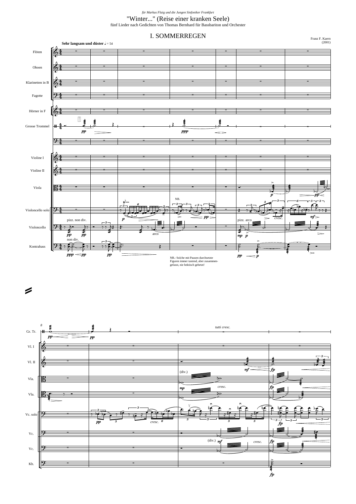#### fünf Lieder nach Gedichten von Thomas Bernhard für Bassbariton und Orchester "Winter..." (Reise einer kranken Seele) *für Markus Flaig und die Jungen Sinfoniker Frankfurt*





 $\boldsymbol{z}$ 

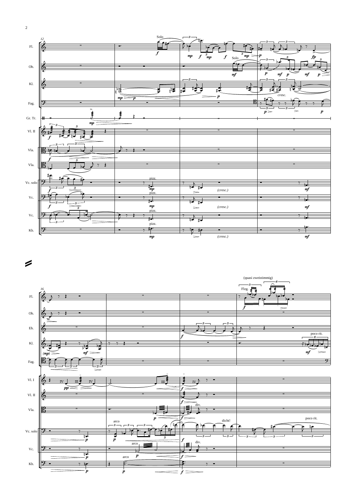



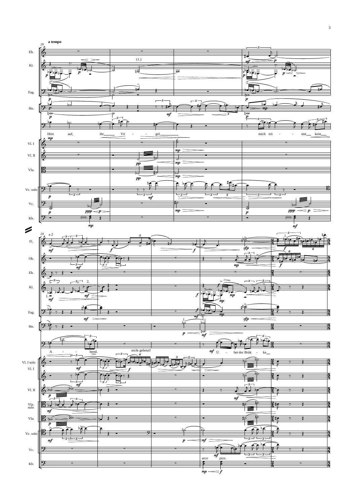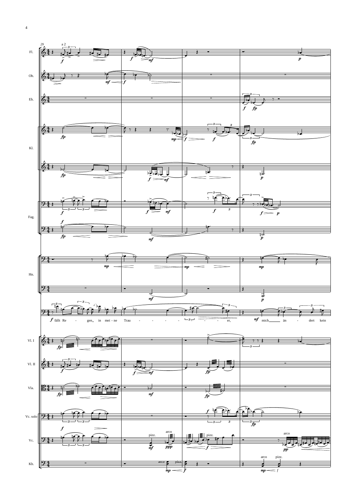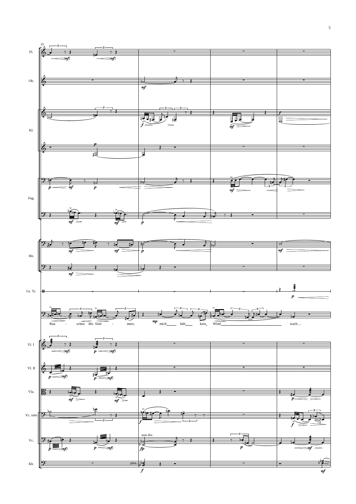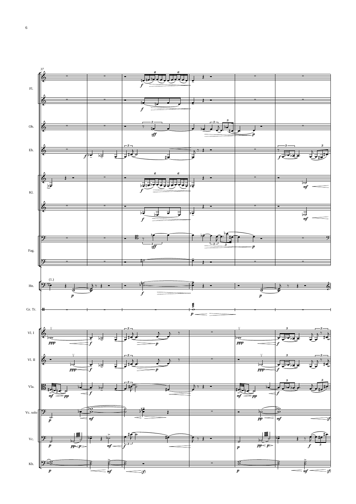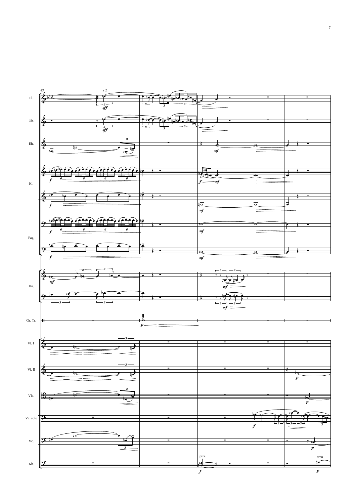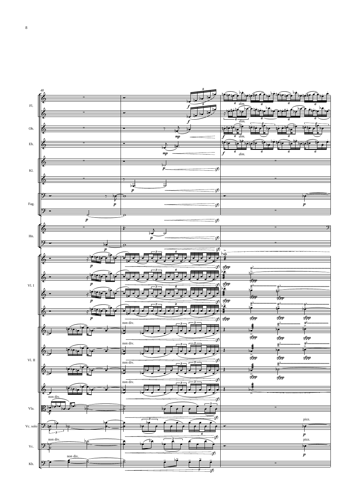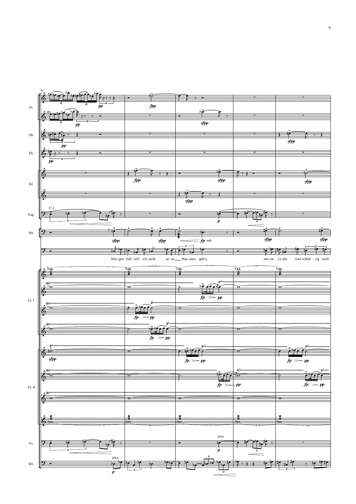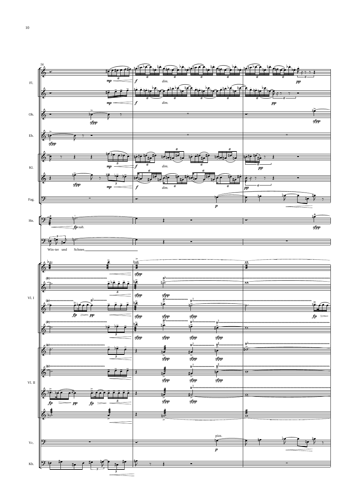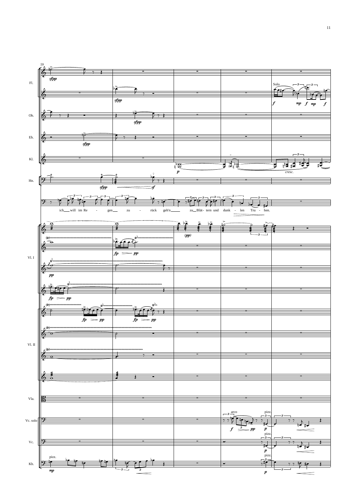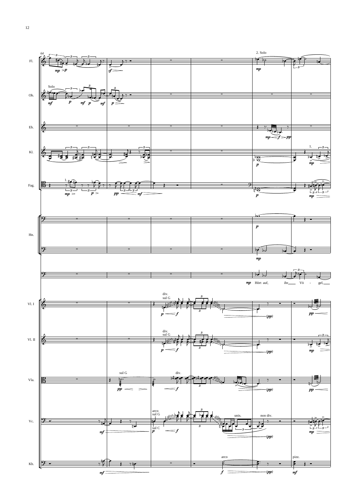![](_page_13_Figure_0.jpeg)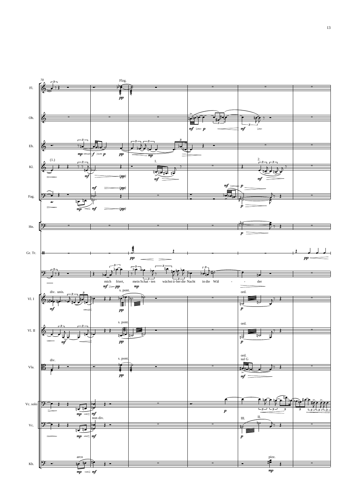![](_page_14_Figure_0.jpeg)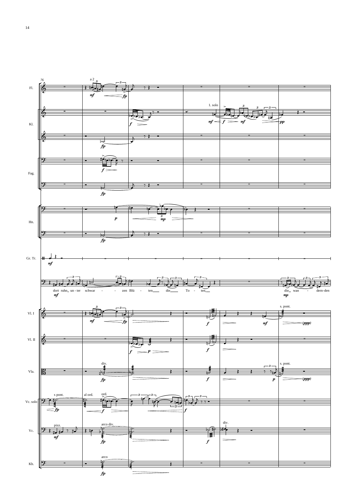![](_page_15_Figure_0.jpeg)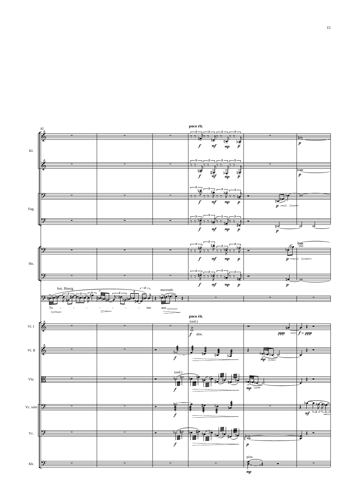![](_page_16_Figure_0.jpeg)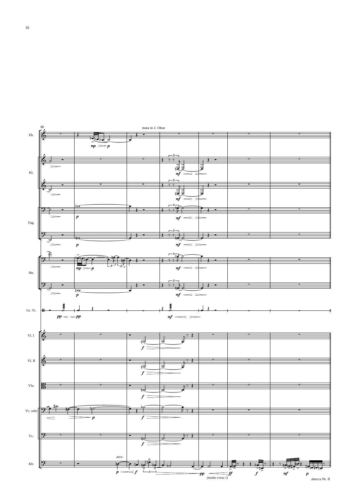![](_page_17_Figure_0.jpeg)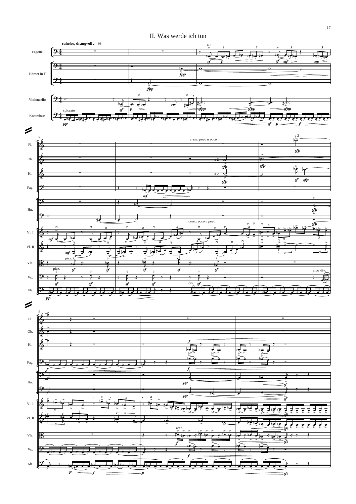![](_page_18_Figure_0.jpeg)

II. Was werde ich tun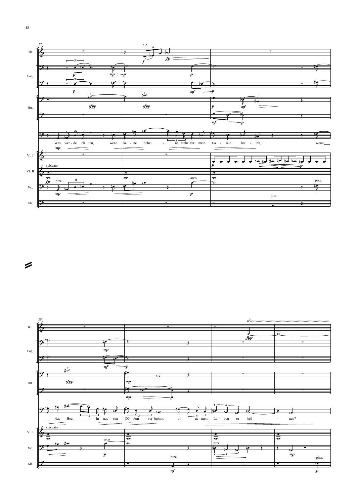![](_page_19_Figure_0.jpeg)

![](_page_19_Figure_1.jpeg)

![](_page_19_Figure_2.jpeg)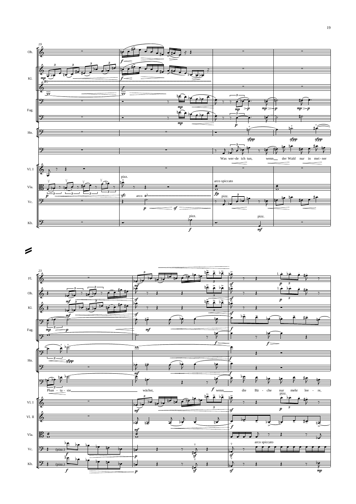![](_page_20_Figure_0.jpeg)

 $\overline{\phantom{a}}$ 

![](_page_20_Figure_2.jpeg)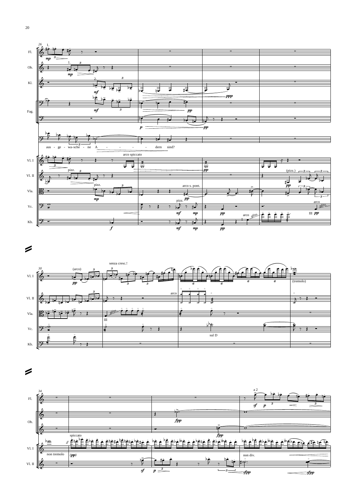![](_page_21_Figure_0.jpeg)

![](_page_21_Figure_1.jpeg)

![](_page_21_Figure_2.jpeg)

 $\overline{\phantom{a}}$ 

![](_page_21_Figure_4.jpeg)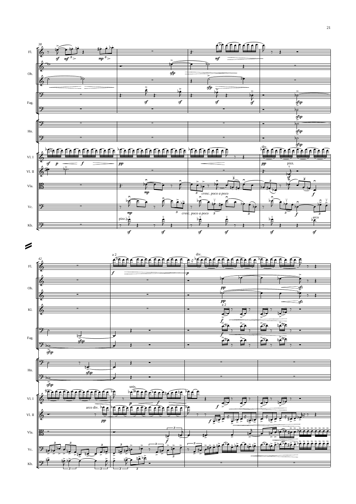![](_page_22_Figure_0.jpeg)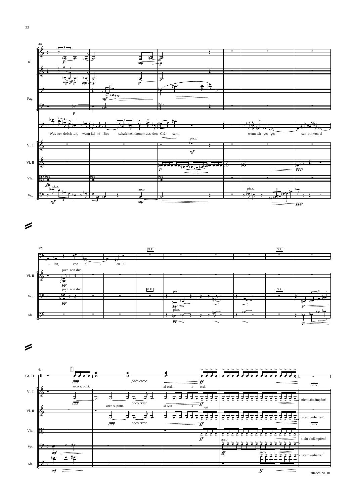![](_page_23_Figure_0.jpeg)

 $\overline{\phantom{a}}$ 

![](_page_23_Figure_2.jpeg)

![](_page_23_Figure_3.jpeg)

![](_page_23_Figure_4.jpeg)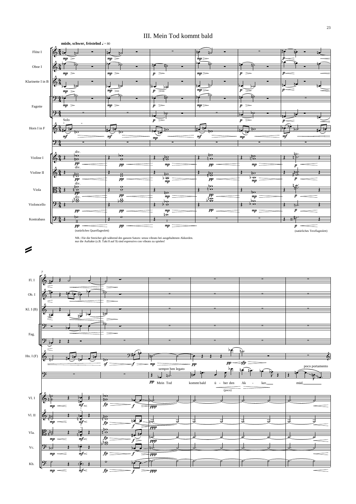#### III. Mein Tod kommt bald

![](_page_24_Figure_1.jpeg)

NB.: Für die Streicher gilt während des ganzen Satzes: senza vibrato bei ausgehaltenen Akkorden. nur die Auftakte (z.B. Takt 8 auf 9) sind espressivo con vibrato zu spielen!

∕

![](_page_24_Figure_4.jpeg)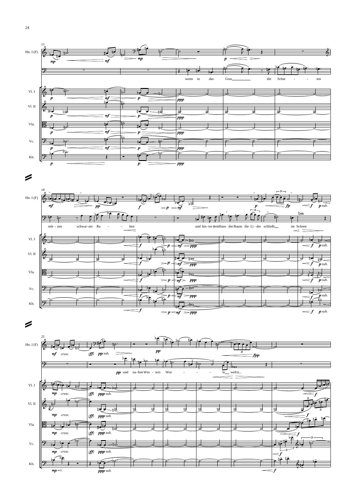![](_page_25_Figure_0.jpeg)

![](_page_25_Figure_1.jpeg)

 $\geq$ 

![](_page_25_Figure_3.jpeg)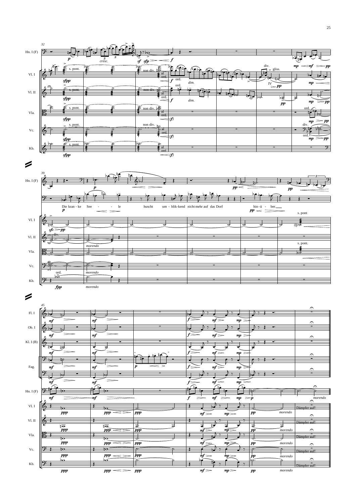![](_page_26_Figure_0.jpeg)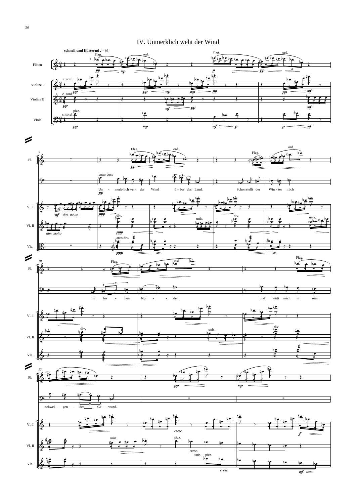IV. Unmerklich weht der Wind

![](_page_27_Figure_1.jpeg)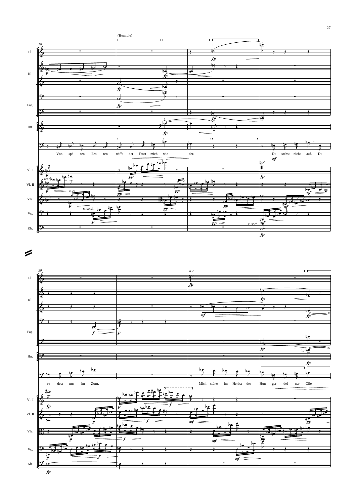![](_page_28_Figure_0.jpeg)

![](_page_28_Figure_1.jpeg)

![](_page_28_Figure_2.jpeg)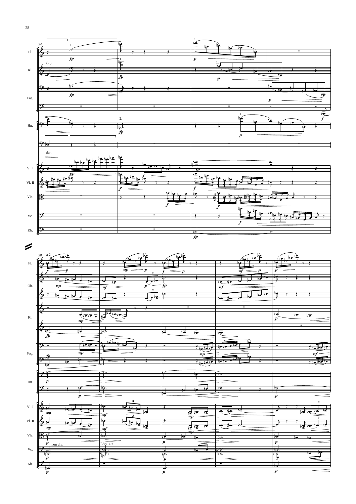![](_page_29_Figure_0.jpeg)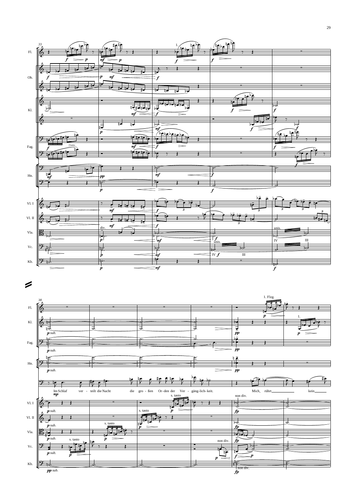![](_page_30_Figure_0.jpeg)

![](_page_30_Figure_1.jpeg)

![](_page_30_Figure_2.jpeg)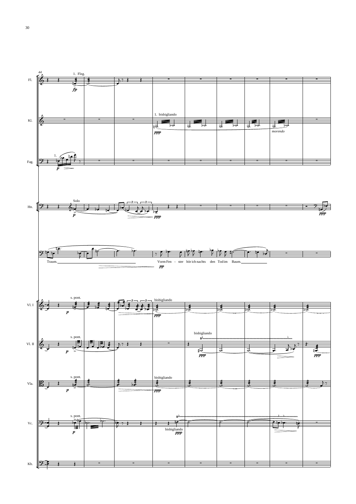![](_page_31_Figure_0.jpeg)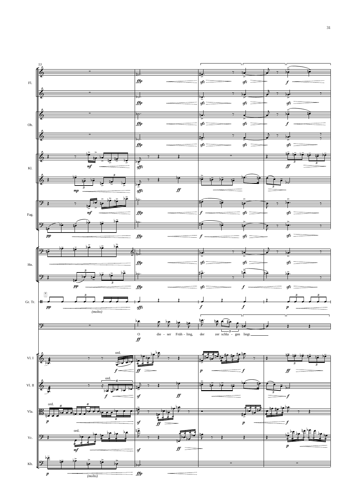![](_page_32_Figure_0.jpeg)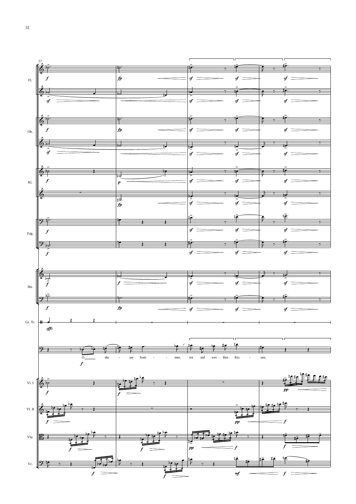![](_page_33_Figure_0.jpeg)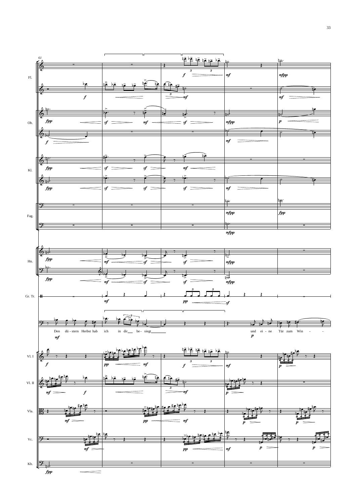![](_page_34_Figure_0.jpeg)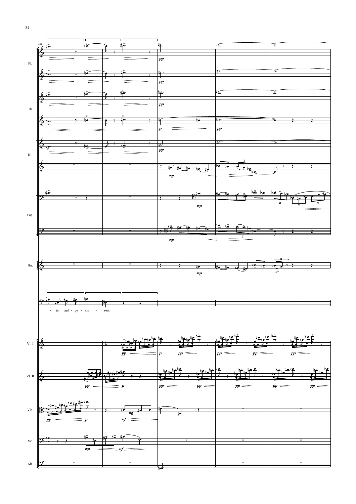![](_page_35_Figure_0.jpeg)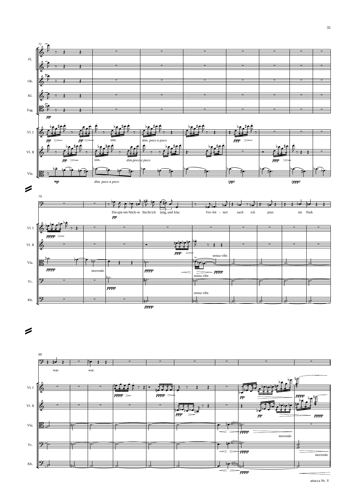![](_page_36_Figure_0.jpeg)

 $\boldsymbol{z}$ 

![](_page_36_Figure_2.jpeg)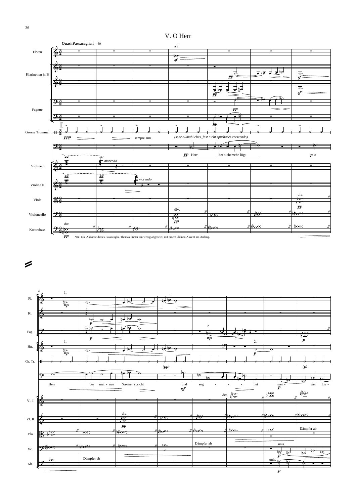![](_page_37_Figure_0.jpeg)

 $\boldsymbol{z}$ 

![](_page_37_Figure_2.jpeg)

![](_page_37_Figure_3.jpeg)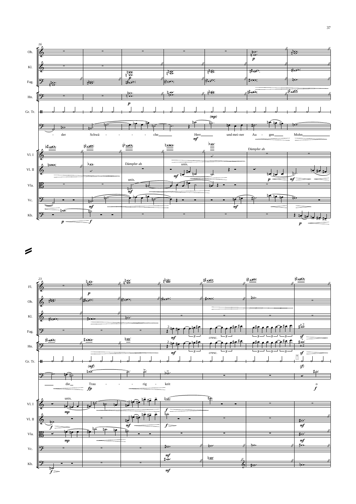![](_page_38_Figure_0.jpeg)

![](_page_38_Figure_1.jpeg)

![](_page_38_Figure_2.jpeg)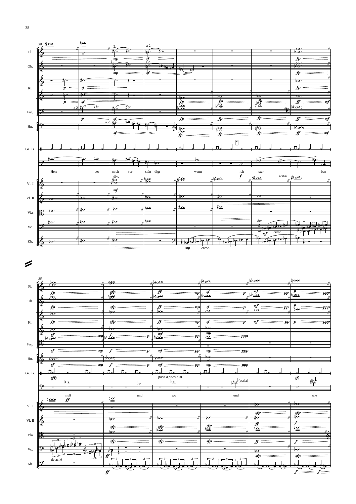![](_page_39_Figure_0.jpeg)

 $\geq$ 

![](_page_39_Figure_2.jpeg)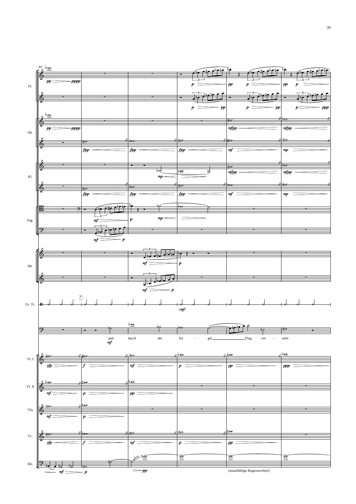![](_page_40_Figure_0.jpeg)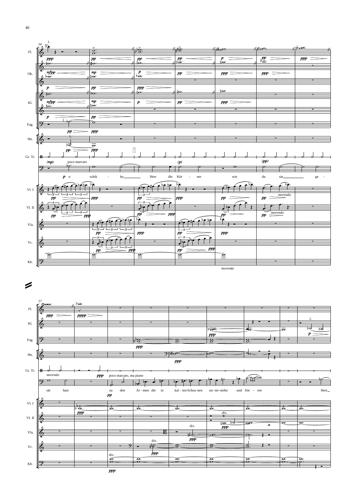![](_page_41_Figure_0.jpeg)

 $\boldsymbol{z}$ 

![](_page_41_Figure_2.jpeg)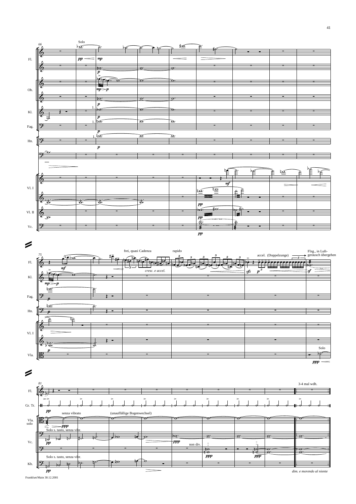![](_page_42_Figure_0.jpeg)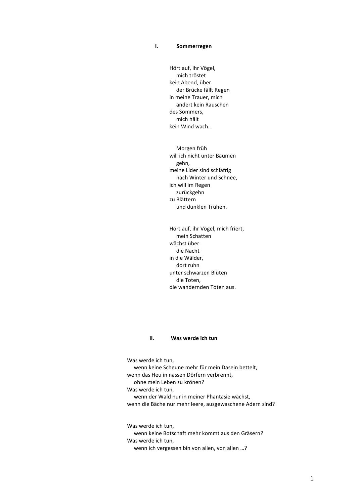#### **I. Sommerregen**

Hört auf, ihr Vögel, mich tröstet kein Abend, über der Brücke fällt Regen in meine Trauer, mich ändert kein Rauschen des Sommers, mich hält kein Wind wach…

 Morgen früh will ich nicht unter Bäumen gehn, meine Lider sind schläfrig nach Winter und Schnee, ich will im Regen zurückgehn zu Blättern und dunklen Truhen.

Hört auf, ihr Vögel, mich friert, mein Schatten wächst über die Nacht in die Wälder, dort ruhn unter schwarzen Blüten die Toten, die wandernden Toten aus.

#### **II. Was werde ich tun**

Was werde ich tun, wenn keine Scheune mehr für mein Dasein bettelt, wenn das Heu in nassen Dörfern verbrennt, ohne mein Leben zu krönen? Was werde ich tun, wenn der Wald nur in meiner Phantasie wächst, wenn die Bäche nur mehr leere, ausgewaschene Adern sind?

Was werde ich tun, wenn keine Botschaft mehr kommt aus den Gräsern? Was werde ich tun, wenn ich vergessen bin von allen, von allen …?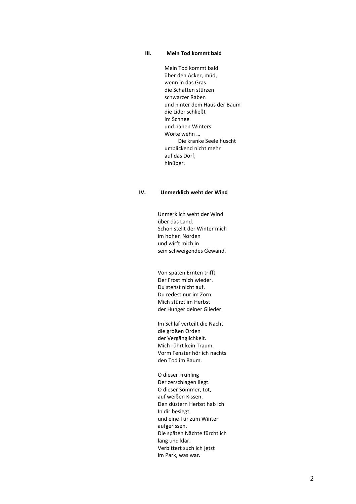#### **III. Mein Tod kommt bald**

 Mein Tod kommt bald über den Acker, müd, wenn in das Gras die Schatten stürzen schwarzer Raben und hinter dem Haus der Baum die Lider schließt im Schnee und nahen Winters Worte wehn … Die kranke Seele huscht umblickend nicht mehr auf das Dorf, hinüber.

#### **IV. Unmerklich weht der Wind**

 Unmerklich weht der Wind über das Land. Schon stellt der Winter mich im hohen Norden und wirft mich in sein schweigendes Gewand.

 Von späten Ernten trifft Der Frost mich wieder. Du stehst nicht auf. Du redest nur im Zorn. Mich stürzt im Herbst der Hunger deiner Glieder.

 Im Schlaf verteilt die Nacht die großen Orden der Vergänglichkeit. Mich rührt kein Traum. Vorm Fenster hör ich nachts den Tod im Baum.

 O dieser Frühling Der zerschlagen liegt. O dieser Sommer, tot, auf weißen Kissen. Den düstern Herbst hab ich In dir besiegt und eine Tür zum Winter aufgerissen. Die späten Nächte fürcht ich lang und klar. Verbittert such ich jetzt im Park, was war.